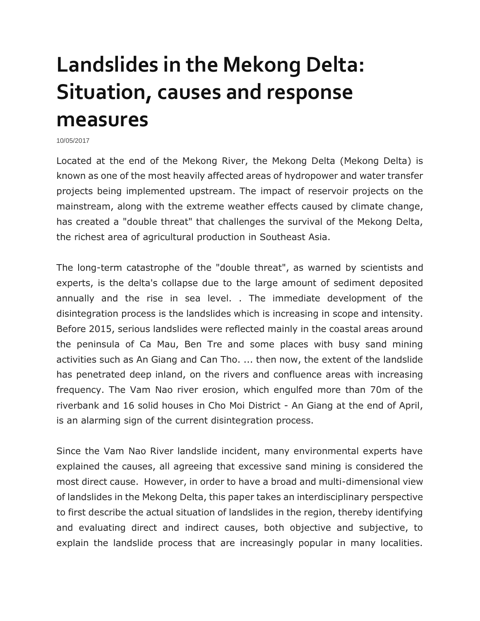# **Landslides in the Mekong Delta: Situation, causes and response measures**

10/05/2017

Located at the end of the Mekong River, the Mekong Delta (Mekong Delta) is known as one of the most heavily affected areas of hydropower and water transfer projects being implemented upstream. The impact of reservoir projects on the mainstream, along with the extreme weather effects caused by climate change, has created a "double threat" that challenges the survival of the Mekong Delta, the richest area of agricultural production in Southeast Asia.

The long-term catastrophe of the "double threat", as warned by scientists and experts, is the delta's collapse due to the large amount of sediment deposited annually and the rise in sea level. . The immediate development of the disintegration process is the landslides which is increasing in scope and intensity. Before 2015, serious landslides were reflected mainly in the coastal areas around the peninsula of Ca Mau, Ben Tre and some places with busy sand mining activities such as An Giang and Can Tho. ... then now, the extent of the landslide has penetrated deep inland, on the rivers and confluence areas with increasing frequency. The Vam Nao river erosion, which engulfed more than 70m of the riverbank and 16 solid houses in Cho Moi District - An Giang at the end of April, is an alarming sign of the current disintegration process.

Since the Vam Nao River landslide incident, many environmental experts have explained the causes, all agreeing that excessive sand mining is considered the most direct cause. However, in order to have a broad and multi-dimensional view of landslides in the Mekong Delta, this paper takes an interdisciplinary perspective to first describe the actual situation of landslides in the region, thereby identifying and evaluating direct and indirect causes, both objective and subjective, to explain the landslide process that are increasingly popular in many localities.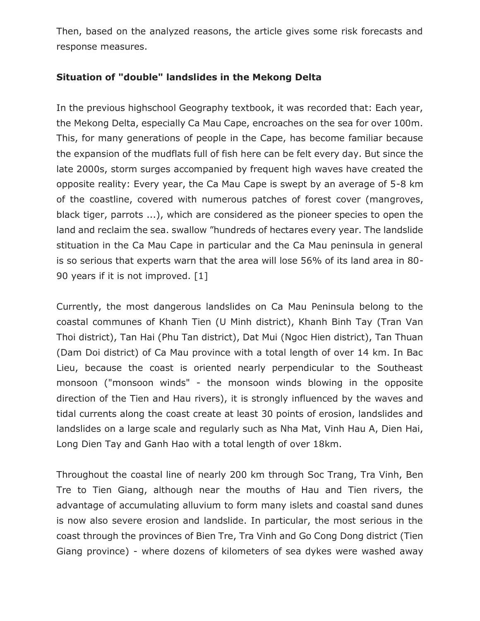Then, based on the analyzed reasons, the article gives some risk forecasts and response measures.

### **Situation of "double" landslides in the Mekong Delta**

In the previous highschool Geography textbook, it was recorded that: Each year, the Mekong Delta, especially Ca Mau Cape, encroaches on the sea for over 100m. This, for many generations of people in the Cape, has become familiar because the expansion of the mudflats full of fish here can be felt every day. But since the late 2000s, storm surges accompanied by frequent high waves have created the opposite reality: Every year, the Ca Mau Cape is swept by an average of 5-8 km of the coastline, covered with numerous patches of forest cover (mangroves, black tiger, parrots ...), which are considered as the pioneer species to open the land and reclaim the sea. swallow "hundreds of hectares every year. The landslide stituation in the Ca Mau Cape in particular and the Ca Mau peninsula in general is so serious that experts warn that the area will lose 56% of its land area in 80- 90 years if it is not improved. [1]

Currently, the most dangerous landslides on Ca Mau Peninsula belong to the coastal communes of Khanh Tien (U Minh district), Khanh Binh Tay (Tran Van Thoi district), Tan Hai (Phu Tan district), Dat Mui (Ngoc Hien district), Tan Thuan (Dam Doi district) of Ca Mau province with a total length of over 14 km. In Bac Lieu, because the coast is oriented nearly perpendicular to the Southeast monsoon ("monsoon winds" - the monsoon winds blowing in the opposite direction of the Tien and Hau rivers), it is strongly influenced by the waves and tidal currents along the coast create at least 30 points of erosion, landslides and landslides on a large scale and regularly such as Nha Mat, Vinh Hau A, Dien Hai, Long Dien Tay and Ganh Hao with a total length of over 18km.

Throughout the coastal line of nearly 200 km through Soc Trang, Tra Vinh, Ben Tre to Tien Giang, although near the mouths of Hau and Tien rivers, the advantage of accumulating alluvium to form many islets and coastal sand dunes is now also severe erosion and landslide. In particular, the most serious in the coast through the provinces of Bien Tre, Tra Vinh and Go Cong Dong district (Tien Giang province) - where dozens of kilometers of sea dykes were washed away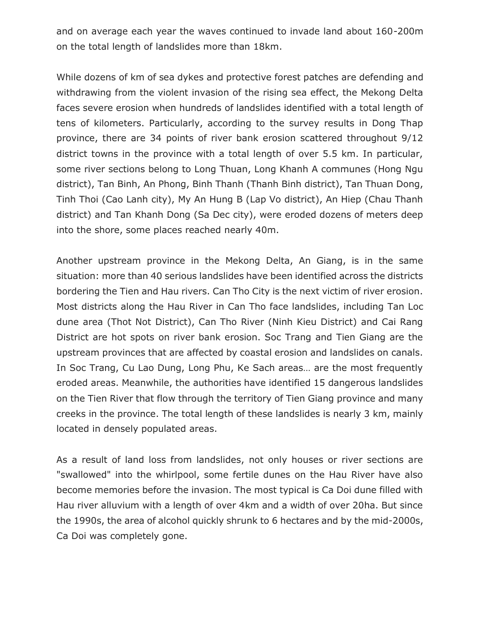and on average each year the waves continued to invade land about 160-200m on the total length of landslides more than 18km.

While dozens of km of sea dykes and protective forest patches are defending and withdrawing from the violent invasion of the rising sea effect, the Mekong Delta faces severe erosion when hundreds of landslides identified with a total length of tens of kilometers. Particularly, according to the survey results in Dong Thap province, there are 34 points of river bank erosion scattered throughout 9/12 district towns in the province with a total length of over 5.5 km. In particular, some river sections belong to Long Thuan, Long Khanh A communes (Hong Ngu district), Tan Binh, An Phong, Binh Thanh (Thanh Binh district), Tan Thuan Dong, Tinh Thoi (Cao Lanh city), My An Hung B (Lap Vo district), An Hiep (Chau Thanh district) and Tan Khanh Dong (Sa Dec city), were eroded dozens of meters deep into the shore, some places reached nearly 40m.

Another upstream province in the Mekong Delta, An Giang, is in the same situation: more than 40 serious landslides have been identified across the districts bordering the Tien and Hau rivers. Can Tho City is the next victim of river erosion. Most districts along the Hau River in Can Tho face landslides, including Tan Loc dune area (Thot Not District), Can Tho River (Ninh Kieu District) and Cai Rang District are hot spots on river bank erosion. Soc Trang and Tien Giang are the upstream provinces that are affected by coastal erosion and landslides on canals. In Soc Trang, Cu Lao Dung, Long Phu, Ke Sach areas… are the most frequently eroded areas. Meanwhile, the authorities have identified 15 dangerous landslides on the Tien River that flow through the territory of Tien Giang province and many creeks in the province. The total length of these landslides is nearly 3 km, mainly located in densely populated areas.

As a result of land loss from landslides, not only houses or river sections are "swallowed" into the whirlpool, some fertile dunes on the Hau River have also become memories before the invasion. The most typical is Ca Doi dune filled with Hau river alluvium with a length of over 4km and a width of over 20ha. But since the 1990s, the area of alcohol quickly shrunk to 6 hectares and by the mid-2000s, Ca Doi was completely gone.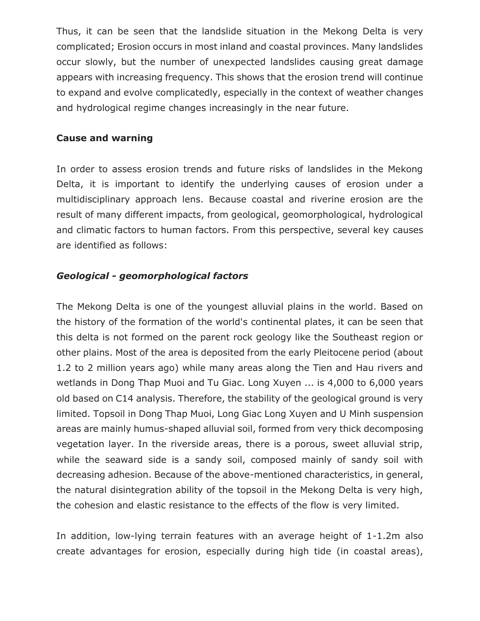Thus, it can be seen that the landslide situation in the Mekong Delta is very complicated; Erosion occurs in most inland and coastal provinces. Many landslides occur slowly, but the number of unexpected landslides causing great damage appears with increasing frequency. This shows that the erosion trend will continue to expand and evolve complicatedly, especially in the context of weather changes and hydrological regime changes increasingly in the near future.

#### **Cause and warning**

In order to assess erosion trends and future risks of landslides in the Mekong Delta, it is important to identify the underlying causes of erosion under a multidisciplinary approach lens. Because coastal and riverine erosion are the result of many different impacts, from geological, geomorphological, hydrological and climatic factors to human factors. From this perspective, several key causes are identified as follows:

#### *Geological - geomorphological factors*

The Mekong Delta is one of the youngest alluvial plains in the world. Based on the history of the formation of the world's continental plates, it can be seen that this delta is not formed on the parent rock geology like the Southeast region or other plains. Most of the area is deposited from the early Pleitocene period (about 1.2 to 2 million years ago) while many areas along the Tien and Hau rivers and wetlands in Dong Thap Muoi and Tu Giac. Long Xuyen ... is 4,000 to 6,000 years old based on C14 analysis. Therefore, the stability of the geological ground is very limited. Topsoil in Dong Thap Muoi, Long Giac Long Xuyen and U Minh suspension areas are mainly humus-shaped alluvial soil, formed from very thick decomposing vegetation layer. In the riverside areas, there is a porous, sweet alluvial strip, while the seaward side is a sandy soil, composed mainly of sandy soil with decreasing adhesion. Because of the above-mentioned characteristics, in general, the natural disintegration ability of the topsoil in the Mekong Delta is very high, the cohesion and elastic resistance to the effects of the flow is very limited.

In addition, low-lying terrain features with an average height of 1-1.2m also create advantages for erosion, especially during high tide (in coastal areas),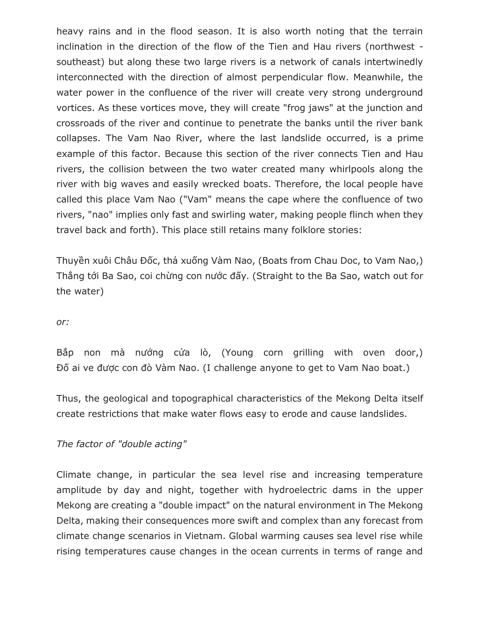heavy rains and in the flood season. It is also worth noting that the terrain inclination in the direction of the flow of the Tien and Hau rivers (northwest southeast) but along these two large rivers is a network of canals intertwinedly interconnected with the direction of almost perpendicular flow. Meanwhile, the water power in the confluence of the river will create very strong underground vortices. As these vortices move, they will create "frog jaws" at the junction and crossroads of the river and continue to penetrate the banks until the river bank collapses. The Vam Nao River, where the last landslide occurred, is a prime example of this factor. Because this section of the river connects Tien and Hau rivers, the collision between the two water created many whirlpools along the river with big waves and easily wrecked boats. Therefore, the local people have called this place Vam Nao ("Vam" means the cape where the confluence of two rivers, "nao" implies only fast and swirling water, making people flinch when they travel back and forth). This place still retains many folklore stories:

Thuyền xuôi Châu Đốc, thả xuống Vàm Nao, (Boats from Chau Doc, to Vam Nao,) Thẳng tới Ba Sao, coi chừng con nước đấy. (Straight to the Ba Sao, watch out for the water)

#### *or:*

Bắp non mà nướng cửa lò, (Young corn grilling with oven door,) Đố ai ve được con đò Vàm Nao. (I challenge anyone to get to Vam Nao boat.)

Thus, the geological and topographical characteristics of the Mekong Delta itself create restrictions that make water flows easy to erode and cause landslides.

#### *The factor of "double acting"*

Climate change, in particular the sea level rise and increasing temperature amplitude by day and night, together with hydroelectric dams in the upper Mekong are creating a "double impact" on the natural environment in The Mekong Delta, making their consequences more swift and complex than any forecast from climate change scenarios in Vietnam. Global warming causes sea level rise while rising temperatures cause changes in the ocean currents in terms of range and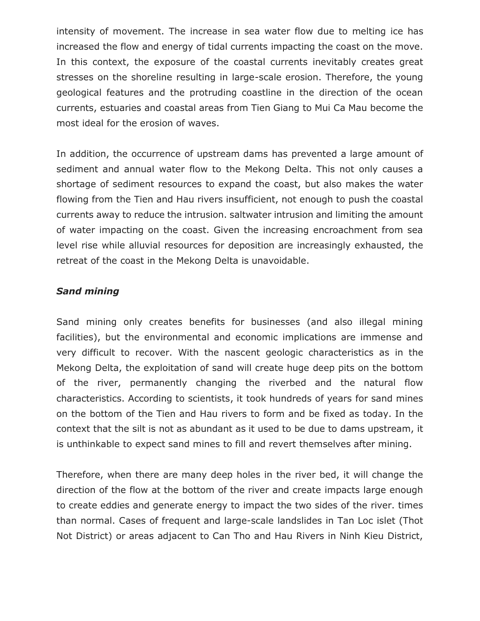intensity of movement. The increase in sea water flow due to melting ice has increased the flow and energy of tidal currents impacting the coast on the move. In this context, the exposure of the coastal currents inevitably creates great stresses on the shoreline resulting in large-scale erosion. Therefore, the young geological features and the protruding coastline in the direction of the ocean currents, estuaries and coastal areas from Tien Giang to Mui Ca Mau become the most ideal for the erosion of waves.

In addition, the occurrence of upstream dams has prevented a large amount of sediment and annual water flow to the Mekong Delta. This not only causes a shortage of sediment resources to expand the coast, but also makes the water flowing from the Tien and Hau rivers insufficient, not enough to push the coastal currents away to reduce the intrusion. saltwater intrusion and limiting the amount of water impacting on the coast. Given the increasing encroachment from sea level rise while alluvial resources for deposition are increasingly exhausted, the retreat of the coast in the Mekong Delta is unavoidable.

#### *Sand mining*

Sand mining only creates benefits for businesses (and also illegal mining facilities), but the environmental and economic implications are immense and very difficult to recover. With the nascent geologic characteristics as in the Mekong Delta, the exploitation of sand will create huge deep pits on the bottom of the river, permanently changing the riverbed and the natural flow characteristics. According to scientists, it took hundreds of years for sand mines on the bottom of the Tien and Hau rivers to form and be fixed as today. In the context that the silt is not as abundant as it used to be due to dams upstream, it is unthinkable to expect sand mines to fill and revert themselves after mining.

Therefore, when there are many deep holes in the river bed, it will change the direction of the flow at the bottom of the river and create impacts large enough to create eddies and generate energy to impact the two sides of the river. times than normal. Cases of frequent and large-scale landslides in Tan Loc islet (Thot Not District) or areas adjacent to Can Tho and Hau Rivers in Ninh Kieu District,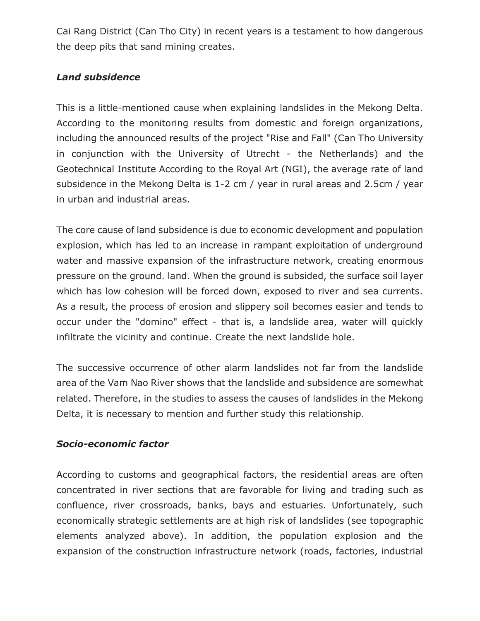Cai Rang District (Can Tho City) in recent years is a testament to how dangerous the deep pits that sand mining creates.

## *Land subsidence*

This is a little-mentioned cause when explaining landslides in the Mekong Delta. According to the monitoring results from domestic and foreign organizations, including the announced results of the project "Rise and Fall" (Can Tho University in conjunction with the University of Utrecht - the Netherlands) and the Geotechnical Institute According to the Royal Art (NGI), the average rate of land subsidence in the Mekong Delta is 1-2 cm / year in rural areas and 2.5cm / year in urban and industrial areas.

The core cause of land subsidence is due to economic development and population explosion, which has led to an increase in rampant exploitation of underground water and massive expansion of the infrastructure network, creating enormous pressure on the ground. land. When the ground is subsided, the surface soil layer which has low cohesion will be forced down, exposed to river and sea currents. As a result, the process of erosion and slippery soil becomes easier and tends to occur under the "domino" effect - that is, a landslide area, water will quickly infiltrate the vicinity and continue. Create the next landslide hole.

The successive occurrence of other alarm landslides not far from the landslide area of the Vam Nao River shows that the landslide and subsidence are somewhat related. Therefore, in the studies to assess the causes of landslides in the Mekong Delta, it is necessary to mention and further study this relationship.

#### *Socio-economic factor*

According to customs and geographical factors, the residential areas are often concentrated in river sections that are favorable for living and trading such as confluence, river crossroads, banks, bays and estuaries. Unfortunately, such economically strategic settlements are at high risk of landslides (see topographic elements analyzed above). In addition, the population explosion and the expansion of the construction infrastructure network (roads, factories, industrial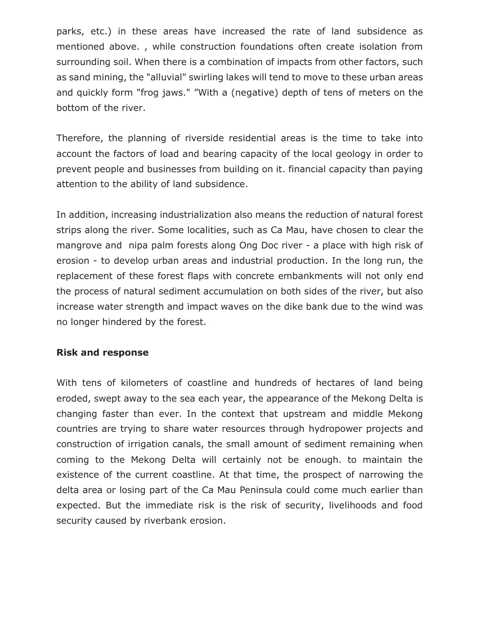parks, etc.) in these areas have increased the rate of land subsidence as mentioned above. , while construction foundations often create isolation from surrounding soil. When there is a combination of impacts from other factors, such as sand mining, the "alluvial" swirling lakes will tend to move to these urban areas and quickly form "frog jaws." "With a (negative) depth of tens of meters on the bottom of the river.

Therefore, the planning of riverside residential areas is the time to take into account the factors of load and bearing capacity of the local geology in order to prevent people and businesses from building on it. financial capacity than paying attention to the ability of land subsidence.

In addition, increasing industrialization also means the reduction of natural forest strips along the river. Some localities, such as Ca Mau, have chosen to clear the mangrove and nipa palm forests along Ong Doc river - a place with high risk of erosion - to develop urban areas and industrial production. In the long run, the replacement of these forest flaps with concrete embankments will not only end the process of natural sediment accumulation on both sides of the river, but also increase water strength and impact waves on the dike bank due to the wind was no longer hindered by the forest.

#### **Risk and response**

With tens of kilometers of coastline and hundreds of hectares of land being eroded, swept away to the sea each year, the appearance of the Mekong Delta is changing faster than ever. In the context that upstream and middle Mekong countries are trying to share water resources through hydropower projects and construction of irrigation canals, the small amount of sediment remaining when coming to the Mekong Delta will certainly not be enough. to maintain the existence of the current coastline. At that time, the prospect of narrowing the delta area or losing part of the Ca Mau Peninsula could come much earlier than expected. But the immediate risk is the risk of security, livelihoods and food security caused by riverbank erosion.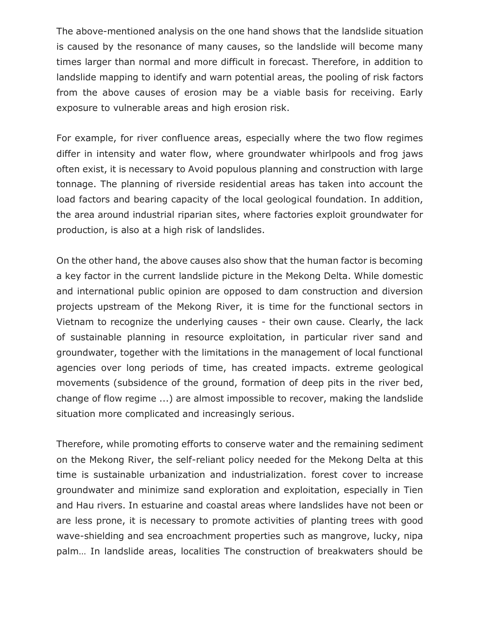The above-mentioned analysis on the one hand shows that the landslide situation is caused by the resonance of many causes, so the landslide will become many times larger than normal and more difficult in forecast. Therefore, in addition to landslide mapping to identify and warn potential areas, the pooling of risk factors from the above causes of erosion may be a viable basis for receiving. Early exposure to vulnerable areas and high erosion risk.

For example, for river confluence areas, especially where the two flow regimes differ in intensity and water flow, where groundwater whirlpools and frog jaws often exist, it is necessary to Avoid populous planning and construction with large tonnage. The planning of riverside residential areas has taken into account the load factors and bearing capacity of the local geological foundation. In addition, the area around industrial riparian sites, where factories exploit groundwater for production, is also at a high risk of landslides.

On the other hand, the above causes also show that the human factor is becoming a key factor in the current landslide picture in the Mekong Delta. While domestic and international public opinion are opposed to dam construction and diversion projects upstream of the Mekong River, it is time for the functional sectors in Vietnam to recognize the underlying causes - their own cause. Clearly, the lack of sustainable planning in resource exploitation, in particular river sand and groundwater, together with the limitations in the management of local functional agencies over long periods of time, has created impacts. extreme geological movements (subsidence of the ground, formation of deep pits in the river bed, change of flow regime ...) are almost impossible to recover, making the landslide situation more complicated and increasingly serious.

Therefore, while promoting efforts to conserve water and the remaining sediment on the Mekong River, the self-reliant policy needed for the Mekong Delta at this time is sustainable urbanization and industrialization. forest cover to increase groundwater and minimize sand exploration and exploitation, especially in Tien and Hau rivers. In estuarine and coastal areas where landslides have not been or are less prone, it is necessary to promote activities of planting trees with good wave-shielding and sea encroachment properties such as mangrove, lucky, nipa palm… In landslide areas, localities The construction of breakwaters should be